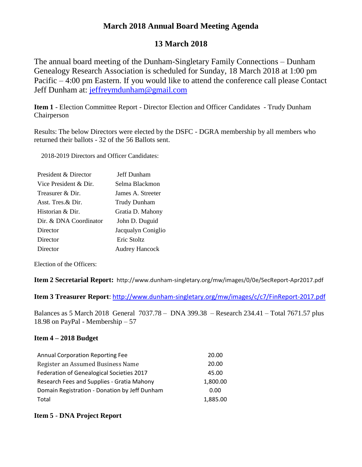## **March 2018 Annual Board Meeting Agenda**

# **13 March 2018**

The annual board meeting of the Dunham-Singletary Family Connections – Dunham Genealogy Research Association is scheduled for Sunday, 18 March 2018 at 1:00 pm Pacific – 4:00 pm Eastern. If you would like to attend the conference call please Contact Jeff Dunham at: [jeffreymdunham@gmail.com](mailto:jeffreymdunham@gmail.com)

**Item 1** - Election Committee Report - Director Election and Officer Candidates - Trudy Dunham Chairperson

Results: The below Directors were elected by the DSFC - DGRA membership by all members who returned their ballots - 32 of the 56 Ballots sent.

2018-2019 Directors and Officer Candidates:

| President & Director   | Jeff Dunham           |
|------------------------|-----------------------|
| Vice President & Dir.  | Selma Blackmon        |
| Treasurer & Dir.       | James A. Streeter     |
| Asst. Tres $\&$ Dir.   | <b>Trudy Dunham</b>   |
| Historian & Dir.       | Gratia D. Mahony      |
| Dir. & DNA Coordinator | John D. Duguid        |
| Director               | Jacqualyn Coniglio    |
| Director               | Eric Stoltz           |
| Director               | <b>Audrey Hancock</b> |

Election of the Officers:

**Item 2 Secretarial Report:** http://www.dunham-singletary.org/mw/images/0/0e/SecReport-Apr2017.pdf

**Item 3 Treasurer Report**: <http://www.dunham-singletary.org/mw/images/c/c7/FinReport-2017.pdf>

Balances as 5 March 2018 General 7037.78 – DNA 399.38 – Research 234.41 – Total 7671.57 plus 18.98 on PayPal - Membership – 57

### **Item 4 – 2018 Budget**

| <b>Annual Corporation Reporting Fee</b>       | 20.00    |
|-----------------------------------------------|----------|
| Register an Assumed Business Name             | 20.00    |
| Federation of Genealogical Societies 2017     | 45.00    |
| Research Fees and Supplies - Gratia Mahony    | 1,800.00 |
| Domain Registration - Donation by Jeff Dunham | 0.00     |
| Total                                         | 1,885.00 |

### **Item 5** - **DNA Project Report**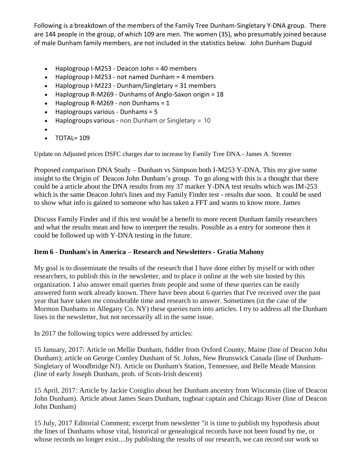Following is a breakdown of the members of the Family Tree Dunham-Singletary Y-DNA group. There are 144 people in the group, of which 109 are men. The women (35), who presumably joined because of male Dunham family members, are not included in the statistics below. John Dunham Duguid

- Haplogroup I-M253 Deacon John = 40 members
- Haplogroup I-M253 not named Dunham = 4 members
- Haplogroup I-M223 Dunham/Singletary = 31 members
- Haplogroup R-M269 Dunhams of Anglo-Saxon origin = 18
- $\bullet$  Haplogroup R-M269 non Dunhams = 1
- Haplogroups various Dunhams = 5
- $\bullet$  Haplogroups various non Dunham or Singletary = 10
- $\bullet$
- TOTAL= 109

Update on Adjusted prices DSFC charges due to increase by Family Tree DNA.- James A. Streeter

Proposed comparison DNA Study – Dunham vs Simpson both I-M253 Y-DNA. This my give some insight to the Origin of Deacon John Dunham's group. To go along with this is a thought that there could be a article about the DNA results from my 37 marker Y-DNA test results which was IM-253 which is the same Deacon John's lines and my Family Finder test - results due soon. It could be used to show what info is gained to someone who has taken a FFT and wants to know more. James

Discuss Family Finder and if this test would be a benefit to more recent Dunham family researchers and what the results mean and how to interpret the results. Possible as a entry for someone then it could be followed up with Y-DNA testing in the future.

### **Item 6** - **Dunham's in America – Research and Newsletters - Gratia Mahony**

My goal is to disseminate the results of the research that I have done either by myself or with other researchers, to publish this in the newsletter, and to place it online at the web site hosted by this organization. I also answer email queries from people and some of these queries can be easily answered form work already known. There have been about 6 queries that I've received over the past year that have taken me considerable time and research to answer. Sometimes (in the case of the Mormon Dunhams in Allegany Co. NY) these queries turn into articles. I try to address all the Dunham lines in the newsletter, but not necessarily all in the same issue.

In 2017 the following topics were addressed by articles:

15 January, 2017: Article on Mellie Dunham, fiddler from Oxford County, Maine (line of Deacon John Dunham); article on George Comley Dunham of St. Johns, New Brunswick Canada (line of Dunham-Singletary of Woodbridge NJ). Article on Dunham's Station, Tennessee, and Belle Meade Mansion (line of early Joseph Dunham, prob. of Scots-Irish descent)

15 April, 2017: Article by Jackie Coniglio about her Dunham ancestry from Wisconsin (line of Deacon John Dunham). Article about James Sears Dunham, tugboat captain and Chicago River (line of Deacon John Dunham)

15 July, 2017 Editorial Comment; excerpt from newsletter "it is time to publish my hypothesis about the lines of Dunhams whose vital, historical or genealogical records have not been found by me, or whose records no longer exist....by publishing the results of our research, we can record our work so